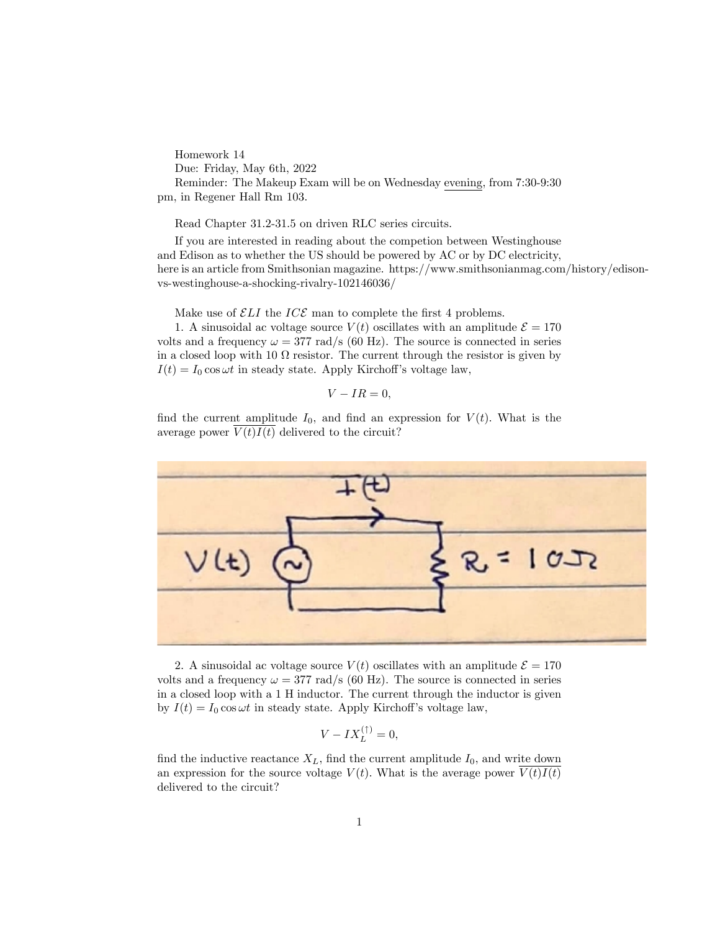Homework 14 Due: Friday, May 6th, 2022 Reminder: The Makeup Exam will be on Wednesday evening, from 7:30-9:30 pm, in Regener Hall Rm 103.

Read Chapter 31.2-31.5 on driven RLC series circuits.

If you are interested in reading about the competion between Westinghouse and Edison as to whether the US should be powered by AC or by DC electricity, here is an article from Smithsonian magazine. https://www.smithsonianmag.com/history/edisonvs-westinghouse-a-shocking-rivalry-102146036/

Make use of  $\mathcal{E}LI$  the  $\mathit{ICE}$  man to complete the first 4 problems.

1. A sinusoidal ac voltage source  $V(t)$  oscillates with an amplitude  $\mathcal{E} = 170$ volts and a frequency  $\omega = 377 \text{ rad/s}$  (60 Hz). The source is connected in series in a closed loop with 10  $\Omega$  resistor. The current through the resistor is given by  $I(t) = I_0 \cos \omega t$  in steady state. Apply Kirchoff's voltage law,

$$
V - IR = 0,
$$

find the current amplitude  $I_0$ , and find an expression for  $V(t)$ . What is the average power  $V(t)I(t)$  delivered to the circuit?



2. A sinusoidal ac voltage source  $V(t)$  oscillates with an amplitude  $\mathcal{E} = 170$ volts and a frequency  $\omega = 377 \text{ rad/s}$  (60 Hz). The source is connected in series in a closed loop with a 1 H inductor. The current through the inductor is given by  $I(t) = I_0 \cos \omega t$  in steady state. Apply Kirchoff's voltage law,

$$
V - IX_L^{(\uparrow)} = 0,
$$

find the inductive reactance  $X_L$ , find the current amplitude  $I_0$ , and write down an expression for the source voltage  $V(t)$ . What is the average power  $V(t)I(t)$ delivered to the circuit?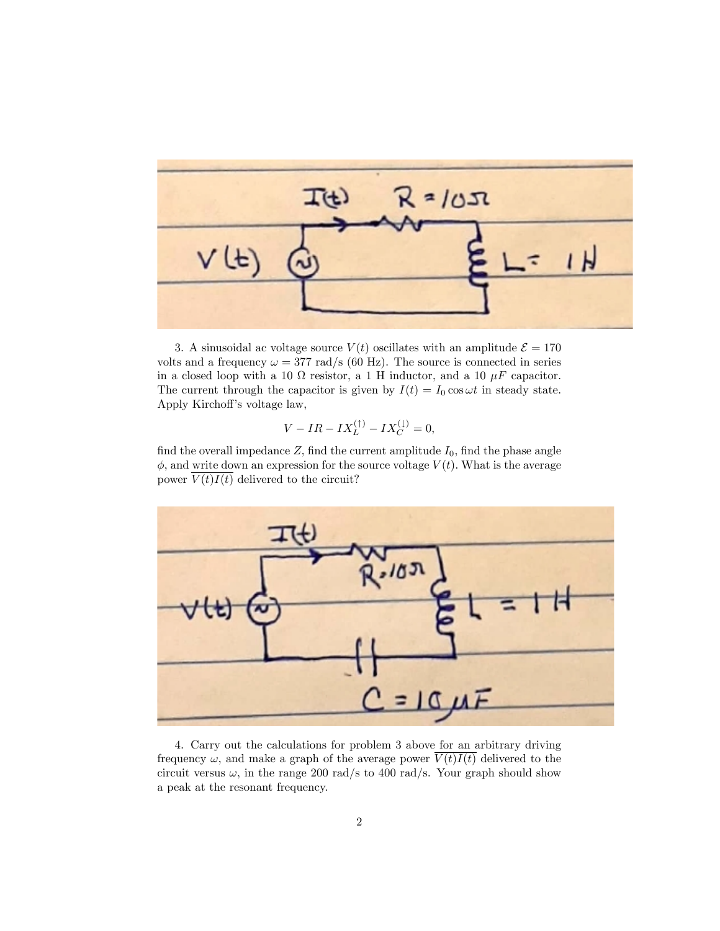

3. A sinusoidal ac voltage source  $V(t)$  oscillates with an amplitude  $\mathcal{E} = 170$ volts and a frequency  $\omega = 377 \text{ rad/s}$  (60 Hz). The source is connected in series in a closed loop with a 10  $\Omega$  resistor, a 1 H inductor, and a 10  $\mu$ F capacitor. The current through the capacitor is given by  $I(t) = I_0 \cos \omega t$  in steady state. Apply Kirchoff's voltage law,

$$
V - IR - IX_L^{(\uparrow)} - IX_C^{(\downarrow)} = 0,
$$

find the overall impedance  $Z$ , find the current amplitude  $I_0$ , find the phase angle  $\phi$ , and write down an expression for the source voltage  $V(t)$ . What is the average power  $\overline{V(t)I(t)}$  delivered to the circuit?



4. Carry out the calculations for problem 3 above for an arbitrary driving frequency  $\omega$ , and make a graph of the average power  $\overline{V(t)I(t)}$  delivered to the circuit versus  $\omega$ , in the range 200 rad/s to 400 rad/s. Your graph should show a peak at the resonant frequency.